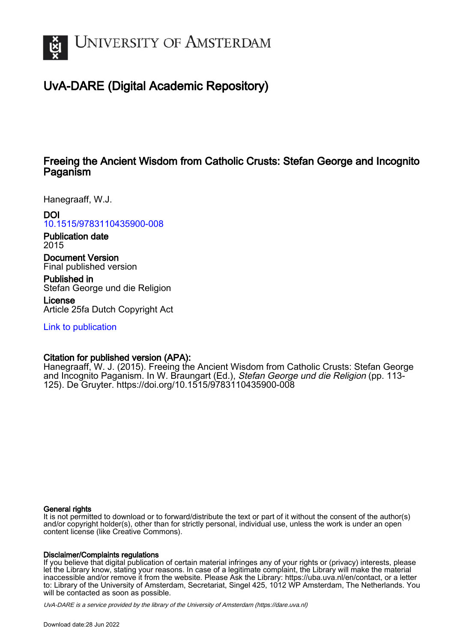

# UvA-DARE (Digital Academic Repository)

## Freeing the Ancient Wisdom from Catholic Crusts: Stefan George and Incognito Paganism

Hanegraaff, W.J.

## DOI

[10.1515/9783110435900-008](https://doi.org/10.1515/9783110435900-008)

Publication date 2015

Document Version Final published version

Published in Stefan George und die Religion

License Article 25fa Dutch Copyright Act

[Link to publication](https://dare.uva.nl/personal/pure/en/publications/freeing-the-ancient-wisdom-from-catholic-crusts-stefan-george-and-incognito-paganism(5681f887-d284-40ec-8652-8401a9a1fd4f).html)

## Citation for published version (APA):

Hanegraaff, W. J. (2015). Freeing the Ancient Wisdom from Catholic Crusts: Stefan George and Incognito Paganism. In W. Braungart (Ed.), Stefan George und die Religion (pp. 113- 125). De Gruyter. <https://doi.org/10.1515/9783110435900-008>

#### General rights

It is not permitted to download or to forward/distribute the text or part of it without the consent of the author(s) and/or copyright holder(s), other than for strictly personal, individual use, unless the work is under an open content license (like Creative Commons).

#### Disclaimer/Complaints regulations

If you believe that digital publication of certain material infringes any of your rights or (privacy) interests, please let the Library know, stating your reasons. In case of a legitimate complaint, the Library will make the material inaccessible and/or remove it from the website. Please Ask the Library: https://uba.uva.nl/en/contact, or a letter to: Library of the University of Amsterdam, Secretariat, Singel 425, 1012 WP Amsterdam, The Netherlands. You will be contacted as soon as possible.

UvA-DARE is a service provided by the library of the University of Amsterdam (http*s*://dare.uva.nl)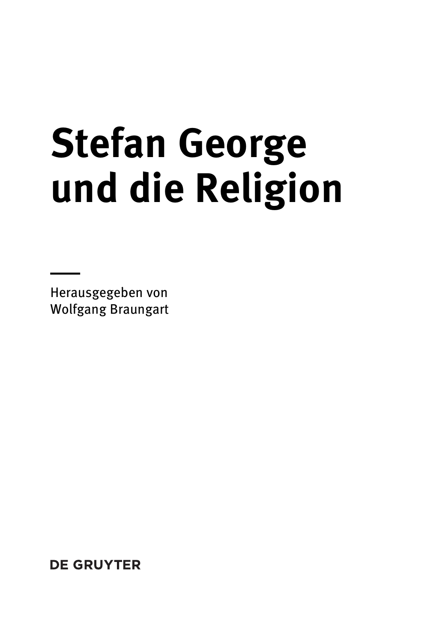# **Stefan George und die Religion**

Herausgegeben von Wolfgang Braungart

**DE GRUYTER**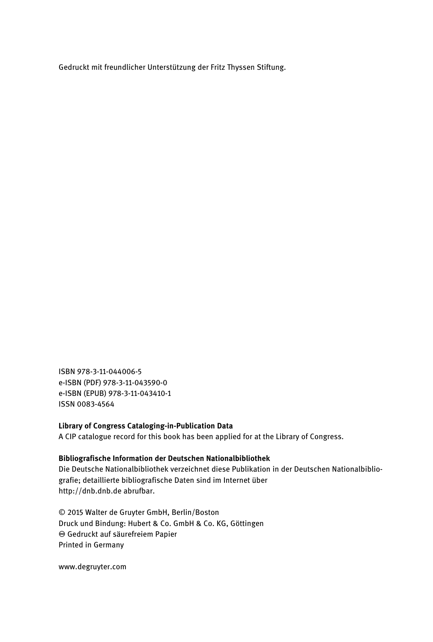Gedruckt mit freundlicher Unterstützung der Fritz Thyssen Stiftung.

ISBN 978-3-11-044006-5 e-ISBN (PDF) 978-3-11-043590-0 e-ISBN (EPUB) 978-3-11-043410-1 ISSN 0083-4564

#### **Library of Congress Cataloging-in-Publication Data**

A CIP catalogue record for this book has been applied for at the Library of Congress.

#### **Bibliografische Information der Deutschen Nationalbibliothek**

Die Deutsche Nationalbibliothek verzeichnet diese Publikation in der Deutschen Nationalbibliografie; detaillierte bibliografische Daten sind im Internet über http://dnb.dnb.de abrufbar.

© 2015 Walter de Gruyter GmbH, Berlin/Boston Druck und Bindung: Hubert & Co. GmbH & Co. KG, Göttingen ♾ Gedruckt auf säurefreiem Papier Printed in Germany

www.degruyter.com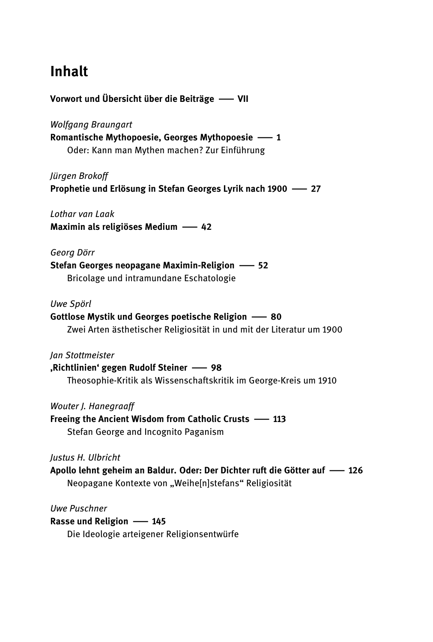# **Inhalt**

**Vorwort und Übersicht über die Beiträge VII** *Wolfgang Braungart* **Romantische Mythopoesie, Georges Mythopoesie 1** Oder: Kann man Mythen machen? Zur Einführung *Jürgen Brokoff* **Prophetie und Erlösung in Stefan Georges Lyrik nach 1900 27** *Lothar van Laak* **Maximin als religiöses Medium 42** *Georg Dörr* **Stefan Georges neopagane Maximin-Religion 52** Bricolage und intramundane Eschatologie *Uwe Spörl* **Gottlose Mystik und Georges poetische Religion 80** Zwei Arten ästhetischer Religiosität in und mit der Literatur um 1900 *Jan Stottmeister* **'Richtlinien' gegen Rudolf Steiner 98** Theosophie-Kritik als Wissenschaftskritik im George-Kreis um 1910 *Wouter J. Hanegraaff* **Freeing the Ancient Wisdom from Catholic Crusts 113** Stefan George and Incognito Paganism *Justus H. Ulbricht* **Apollo lehnt geheim an Baldur. Oder: Der Dichter ruft die Götter auf 126** Neopagane Kontexte von "Weihe[n]stefans" Religiosität *Uwe Puschner* **Rasse und Religion 145**

Die Ideologie arteigener Religionsentwürfe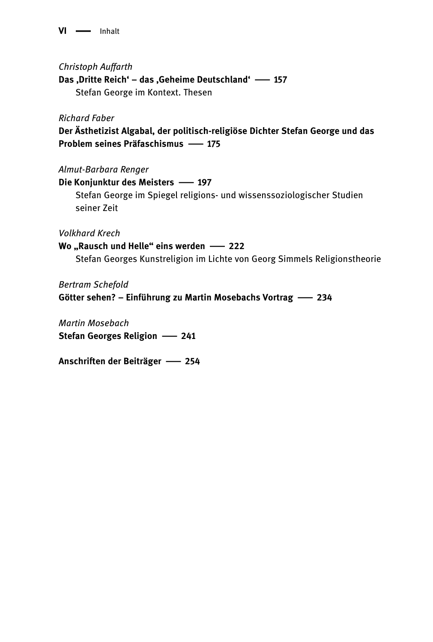**VI** - Inhalt

*Christoph Auffarth*

**Das 'Dritte Reich' – das 'Geheime Deutschland' 157** Stefan George im Kontext. Thesen

*Richard Faber*

**Der Ästhetizist Algabal, der politisch-religiöse Dichter Stefan George und das Problem seines Präfaschismus 175**

*Almut-Barbara Renger*

#### **Die Konjunktur des Meisters 197**

Stefan George im Spiegel religions- und wissenssoziologischer Studien seiner Zeit

*Volkhard Krech*

#### **Wo "Rausch und Helle" eins werden 222**

Stefan Georges Kunstreligion im Lichte von Georg Simmels Religionstheorie

*Bertram Schefold*

**Götter sehen? – Einführung zu Martin Mosebachs Vortrag 234**

*Martin Mosebach* **Stefan Georges Religion 241**

**Anschriften der Beiträger 254**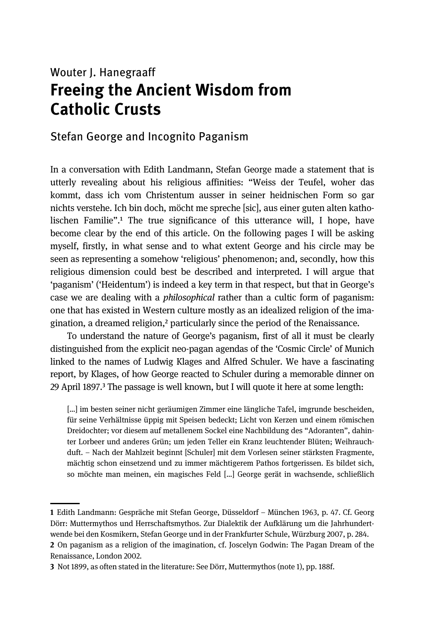## Wouter J. Hanegraaff Freeing the Ancient Wisdom from Catholic Crusts

### Stefan George and Incognito Paganism

In a conversation with Edith Landmann, Stefan George made a statement that is utterly revealing about his religious affinities: "Weiss der Teufel, woher das kommt, dass ich vom Christentum ausser in seiner heidnischen Form so gar nichts verstehe. Ich bin doch, möcht me spreche [sic], aus einer guten alten katholischen Familie".<sup>1</sup> The true significance of this utterance will, I hope, have become clear by the end of this article. On the following pages I will be asking myself, firstly, in what sense and to what extent George and his circle may be seen as representing a somehow 'religious' phenomenon; and, secondly, how this religious dimension could best be described and interpreted. I will argue that 'paganism' ('Heidentum') is indeed a key term in that respect, but that in George's case we are dealing with a philosophical rather than a cultic form of paganism: one that has existed in Western culture mostly as an idealized religion of the imagination, a dreamed religion,² particularly since the period of the Renaissance.

To understand the nature of George's paganism, first of all it must be clearly distinguished from the explicit neo-pagan agendas of the 'Cosmic Circle' of Munich linked to the names of Ludwig Klages and Alfred Schuler. We have a fascinating report, by Klages, of how George reacted to Schuler during a memorable dinner on 29 April 1897.³ The passage is well known, but I will quote it here at some length:

[…] im besten seiner nicht geräumigen Zimmer eine längliche Tafel, imgrunde bescheiden, für seine Verhältnisse üppig mit Speisen bedeckt; Licht von Kerzen und einem römischen Dreidochter; vor diesem auf metallenem Sockel eine Nachbildung des "Adoranten", dahinter Lorbeer und anderes Grün; um jeden Teller ein Kranz leuchtender Blüten; Weihrauchduft. – Nach der Mahlzeit beginnt [Schuler] mit dem Vorlesen seiner stärksten Fragmente, mächtig schon einsetzend und zu immer mächtigerem Pathos fortgerissen. Es bildet sich, so möchte man meinen, ein magisches Feld […] George gerät in wachsende, schließlich

<sup>1</sup> Edith Landmann: Gespräche mit Stefan George, Düsseldorf – München 1963, p. 47. Cf. Georg Dörr: Muttermythos und Herrschaftsmythos. Zur Dialektik der Aufklärung um die Jahrhundertwende bei den Kosmikern, Stefan George und in der Frankfurter Schule, Würzburg 2007, p. 284. 2 On paganism as a religion of the imagination, cf. Joscelyn Godwin: The Pagan Dream of the Renaissance, London 2002.

<sup>3</sup> Not 1899, as often stated in the literature: See Dörr, Muttermythos (note 1), pp. 188f.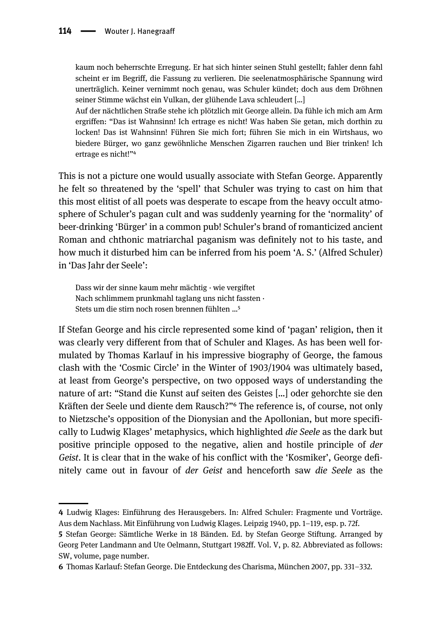kaum noch beherrschte Erregung. Er hat sich hinter seinen Stuhl gestellt; fahler denn fahl scheint er im Begriff, die Fassung zu verlieren. Die seelenatmosphärische Spannung wird unerträglich. Keiner vernimmt noch genau, was Schuler kündet; doch aus dem Dröhnen seiner Stimme wächst ein Vulkan, der glühende Lava schleudert […]

Auf der nächtlichen Straße stehe ich plötzlich mit George allein. Da fühle ich mich am Arm ergriffen: "Das ist Wahnsinn! Ich ertrage es nicht! Was haben Sie getan, mich dorthin zu locken! Das ist Wahnsinn! Führen Sie mich fort; führen Sie mich in ein Wirtshaus, wo biedere Bürger, wo ganz gewöhnliche Menschen Zigarren rauchen und Bier trinken! Ich ertrage es nicht!"<sup>4</sup>

This is not a picture one would usually associate with Stefan George. Apparently he felt so threatened by the 'spell' that Schuler was trying to cast on him that this most elitist of all poets was desperate to escape from the heavy occult atmosphere of Schuler's pagan cult and was suddenly yearning for the 'normality' of beer-drinking 'Bürger' in a common pub! Schuler's brand of romanticized ancient Roman and chthonic matriarchal paganism was definitely not to his taste, and how much it disturbed him can be inferred from his poem 'A. S.' (Alfred Schuler) in 'Das Jahr der Seele':

Dass wir der sinne kaum mehr mächtig · wie vergiftet Nach schlimmem prunkmahl taglang uns nicht fassten · Stets um die stirn noch rosen brennen fühlten …⁵

If Stefan George and his circle represented some kind of 'pagan' religion, then it was clearly very different from that of Schuler and Klages. As has been well formulated by Thomas Karlauf in his impressive biography of George, the famous clash with the 'Cosmic Circle' in the Winter of 1903/1904 was ultimately based, at least from George's perspective, on two opposed ways of understanding the nature of art: "Stand die Kunst auf seiten des Geistes […] oder gehorchte sie den Kräften der Seele und diente dem Rausch?"<sup>6</sup> The reference is, of course, not only to Nietzsche's opposition of the Dionysian and the Apollonian, but more specifically to Ludwig Klages' metaphysics, which highlighted die Seele as the dark but positive principle opposed to the negative, alien and hostile principle of der Geist. It is clear that in the wake of his conflict with the 'Kosmiker', George definitely came out in favour of der Geist and henceforth saw die Seele as the

<sup>4</sup> Ludwig Klages: Einführung des Herausgebers. In: Alfred Schuler: Fragmente und Vorträge. Aus dem Nachlass. Mit Einführung von Ludwig Klages. Leipzig 1940, pp. 1–119, esp. p. 72f.

<sup>5</sup> Stefan George: Sämtliche Werke in 18 Bänden. Ed. by Stefan George Stiftung. Arranged by Georg Peter Landmann and Ute Oelmann, Stuttgart 1982ff. Vol. V, p. 82. Abbreviated as follows: SW, volume, page number.

<sup>6</sup> Thomas Karlauf: Stefan George. Die Entdeckung des Charisma, München 2007, pp. 331–332.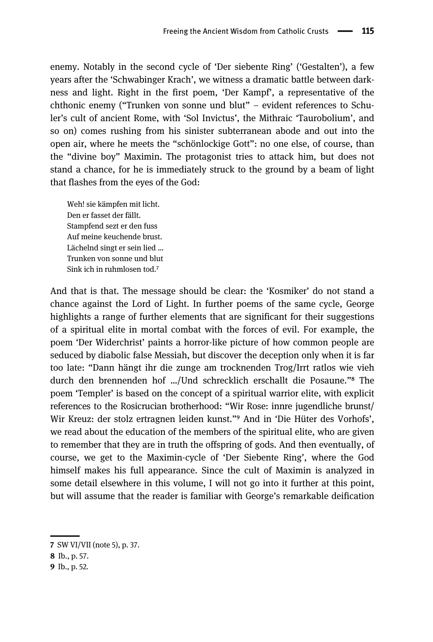enemy. Notably in the second cycle of 'Der siebente Ring' ('Gestalten'), a few years after the 'Schwabinger Krach', we witness a dramatic battle between darkness and light. Right in the first poem, 'Der Kampf', a representative of the chthonic enemy ("Trunken von sonne und blut" – evident references to Schuler's cult of ancient Rome, with 'Sol Invictus', the Mithraic 'Taurobolium', and so on) comes rushing from his sinister subterranean abode and out into the open air, where he meets the "schönlockige Gott": no one else, of course, than the "divine boy" Maximin. The protagonist tries to attack him, but does not stand a chance, for he is immediately struck to the ground by a beam of light that flashes from the eyes of the God:

Weh! sie kämpfen mit licht. Den er fasset der fällt. Stampfend sezt er den fuss Auf meine keuchende brust. Lächelnd singt er sein lied … Trunken von sonne und blut Sink ich in ruhmlosen tod.<sup>7</sup>

And that is that. The message should be clear: the 'Kosmiker' do not stand a chance against the Lord of Light. In further poems of the same cycle, George highlights a range of further elements that are significant for their suggestions of a spiritual elite in mortal combat with the forces of evil. For example, the poem 'Der Widerchrist' paints a horror-like picture of how common people are seduced by diabolic false Messiah, but discover the deception only when it is far too late: "Dann hängt ihr die zunge am trocknenden Trog/Irrt ratlos wie vieh durch den brennenden hof .../Und schrecklich erschallt die Posaune."<sup>8</sup> The poem 'Templer' is based on the concept of a spiritual warrior elite, with explicit references to the Rosicrucian brotherhood: "Wir Rose: innre jugendliche brunst/ Wir Kreuz: der stolz ertragnen leiden kunst."<sup>9</sup> And in 'Die Hüter des Vorhofs', we read about the education of the members of the spiritual elite, who are given to remember that they are in truth the offspring of gods. And then eventually, of course, we get to the Maximin-cycle of 'Der Siebente Ring', where the God himself makes his full appearance. Since the cult of Maximin is analyzed in some detail elsewhere in this volume, I will not go into it further at this point, but will assume that the reader is familiar with George's remarkable deification

<sup>7</sup> SW VI/VII (note 5), p. 37.

<sup>8</sup> Ib., p. 57.

<sup>9</sup> Ib., p. 52.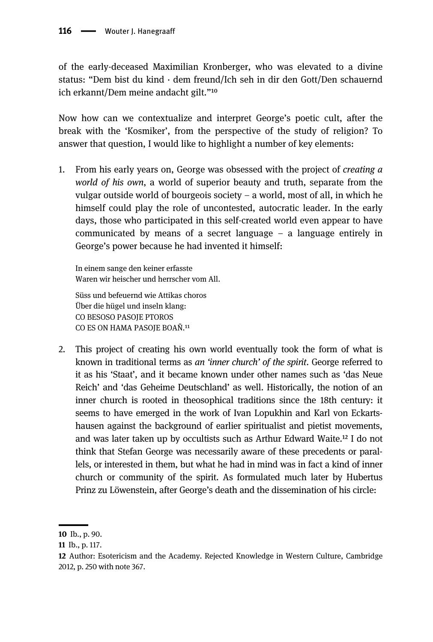of the early-deceased Maximilian Kronberger, who was elevated to a divine status: "Dem bist du kind · dem freund/Ich seh in dir den Gott/Den schauernd ich erkannt/Dem meine andacht gilt."<sup>10</sup>

Now how can we contextualize and interpret George's poetic cult, after the break with the 'Kosmiker', from the perspective of the study of religion? To answer that question, I would like to highlight a number of key elements:

1. From his early years on, George was obsessed with the project of *creating a* world of his own, a world of superior beauty and truth, separate from the vulgar outside world of bourgeois society – a world, most of all, in which he himself could play the role of uncontested, autocratic leader. In the early days, those who participated in this self-created world even appear to have communicated by means of a secret language – a language entirely in George's power because he had invented it himself:

In einem sange den keiner erfasste Waren wir heischer und herrscher vom All.

Süss und befeuernd wie Attikas choros Über die hügel und inseln klang: CO BESOSO PASOJE PTOROS CO ES ON HAMA PASOJE BOAÑ.<sup>11</sup>

2. This project of creating his own world eventually took the form of what is known in traditional terms as an 'inner church' of the spirit. George referred to it as his 'Staat', and it became known under other names such as 'das Neue Reich' and 'das Geheime Deutschland' as well. Historically, the notion of an inner church is rooted in theosophical traditions since the 18th century: it seems to have emerged in the work of Ivan Lopukhin and Karl von Eckartshausen against the background of earlier spiritualist and pietist movements, and was later taken up by occultists such as Arthur Edward Waite.<sup>12</sup> I do not think that Stefan George was necessarily aware of these precedents or parallels, or interested in them, but what he had in mind was in fact a kind of inner church or community of the spirit. As formulated much later by Hubertus Prinz zu Löwenstein, after George's death and the dissemination of his circle:

<sup>10</sup> Ib., p. 90.

<sup>11</sup> Ib., p. 117.

<sup>12</sup> Author: Esotericism and the Academy. Rejected Knowledge in Western Culture, Cambridge 2012, p. 250 with note 367.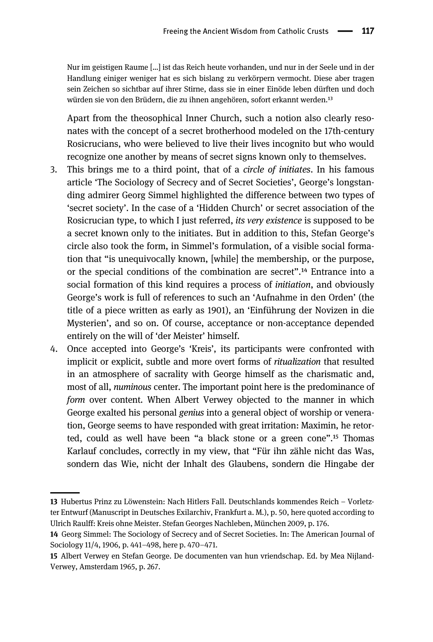Nur im geistigen Raume […] ist das Reich heute vorhanden, und nur in der Seele und in der Handlung einiger weniger hat es sich bislang zu verkörpern vermocht. Diese aber tragen sein Zeichen so sichtbar auf ihrer Stirne, dass sie in einer Einöde leben dürften und doch würden sie von den Brüdern, die zu ihnen angehören, sofort erkannt werden.<sup>13</sup>

Apart from the theosophical Inner Church, such a notion also clearly resonates with the concept of a secret brotherhood modeled on the 17th-century Rosicrucians, who were believed to live their lives incognito but who would recognize one another by means of secret signs known only to themselves.

- 3. This brings me to a third point, that of a circle of initiates. In his famous article 'The Sociology of Secrecy and of Secret Societies', George's longstanding admirer Georg Simmel highlighted the difference between two types of 'secret society'. In the case of a 'Hidden Church' or secret association of the Rosicrucian type, to which I just referred, its very existence is supposed to be a secret known only to the initiates. But in addition to this, Stefan George's circle also took the form, in Simmel's formulation, of a visible social formation that "is unequivocally known, [while] the membership, or the purpose, or the special conditions of the combination are secret".<sup>14</sup> Entrance into a social formation of this kind requires a process of initiation, and obviously George's work is full of references to such an 'Aufnahme in den Orden' (the title of a piece written as early as 1901), an 'Einführung der Novizen in die Mysterien', and so on. Of course, acceptance or non-acceptance depended entirely on the will of 'der Meister' himself.
- 4. Once accepted into George's 'Kreis', its participants were confronted with implicit or explicit, subtle and more overt forms of ritualization that resulted in an atmosphere of sacrality with George himself as the charismatic and, most of all, numinous center. The important point here is the predominance of form over content. When Albert Verwey objected to the manner in which George exalted his personal genius into a general object of worship or veneration, George seems to have responded with great irritation: Maximin, he retorted, could as well have been "a black stone or a green cone".<sup>15</sup> Thomas Karlauf concludes, correctly in my view, that "Für ihn zähle nicht das Was, sondern das Wie, nicht der Inhalt des Glaubens, sondern die Hingabe der

<sup>13</sup> Hubertus Prinz zu Löwenstein: Nach Hitlers Fall. Deutschlands kommendes Reich – Vorletzter Entwurf (Manuscript in Deutsches Exilarchiv, Frankfurt a. M.), p. 50, here quoted according to Ulrich Raulff: Kreis ohne Meister. Stefan Georges Nachleben, München 2009, p. 176.

<sup>14</sup> Georg Simmel: The Sociology of Secrecy and of Secret Societies. In: The American Journal of Sociology 11/4, 1906, p. 441–498, here p. 470–471.

<sup>15</sup> Albert Verwey en Stefan George. De documenten van hun vriendschap. Ed. by Mea Nijland-Verwey, Amsterdam 1965, p. 267.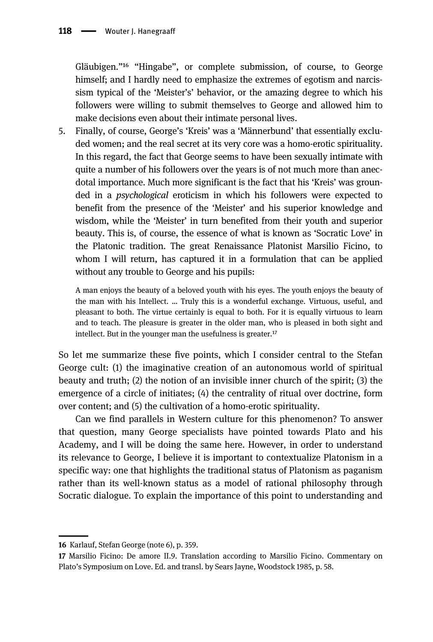Gläubigen."<sup>16</sup> "Hingabe", or complete submission, of course, to George himself; and I hardly need to emphasize the extremes of egotism and narcissism typical of the 'Meister's' behavior, or the amazing degree to which his followers were willing to submit themselves to George and allowed him to make decisions even about their intimate personal lives.

5. Finally, of course, George's 'Kreis' was a 'Männerbund' that essentially excluded women; and the real secret at its very core was a homo-erotic spirituality. In this regard, the fact that George seems to have been sexually intimate with quite a number of his followers over the years is of not much more than anecdotal importance. Much more significant is the fact that his 'Kreis' was grounded in a psychological eroticism in which his followers were expected to benefit from the presence of the 'Meister' and his superior knowledge and wisdom, while the 'Meister' in turn benefited from their youth and superior beauty. This is, of course, the essence of what is known as 'Socratic Love' in the Platonic tradition. The great Renaissance Platonist Marsilio Ficino, to whom I will return, has captured it in a formulation that can be applied without any trouble to George and his pupils:

A man enjoys the beauty of a beloved youth with his eyes. The youth enjoys the beauty of the man with his Intellect. … Truly this is a wonderful exchange. Virtuous, useful, and pleasant to both. The virtue certainly is equal to both. For it is equally virtuous to learn and to teach. The pleasure is greater in the older man, who is pleased in both sight and intellect. But in the younger man the usefulness is greater. $17$ 

So let me summarize these five points, which I consider central to the Stefan George cult: (1) the imaginative creation of an autonomous world of spiritual beauty and truth; (2) the notion of an invisible inner church of the spirit; (3) the emergence of a circle of initiates; (4) the centrality of ritual over doctrine, form over content; and (5) the cultivation of a homo-erotic spirituality.

Can we find parallels in Western culture for this phenomenon? To answer that question, many George specialists have pointed towards Plato and his Academy, and I will be doing the same here. However, in order to understand its relevance to George, I believe it is important to contextualize Platonism in a specific way: one that highlights the traditional status of Platonism as paganism rather than its well-known status as a model of rational philosophy through Socratic dialogue. To explain the importance of this point to understanding and

<sup>16</sup> Karlauf, Stefan George (note 6), p. 359.

<sup>17</sup> Marsilio Ficino: De amore II.9. Translation according to Marsilio Ficino. Commentary on Plato's Symposium on Love. Ed. and transl. by Sears Jayne, Woodstock 1985, p. 58.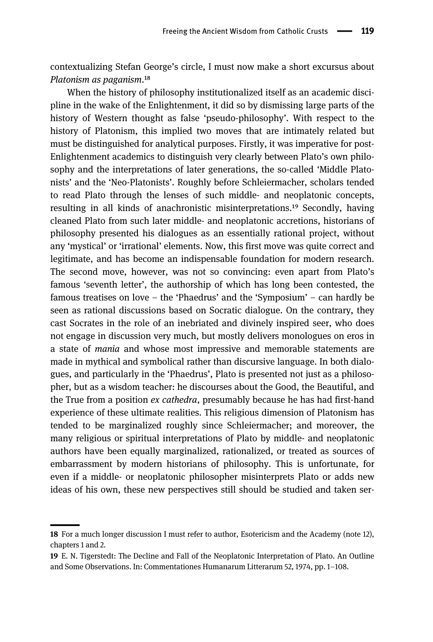contextualizing Stefan George's circle, I must now make a short excursus about Platonism as paganism.<sup>18</sup>

When the history of philosophy institutionalized itself as an academic discipline in the wake of the Enlightenment, it did so by dismissing large parts of the history of Western thought as false 'pseudo-philosophy'. With respect to the history of Platonism, this implied two moves that are intimately related but must be distinguished for analytical purposes. Firstly, it was imperative for post-Enlightenment academics to distinguish very clearly between Plato's own philosophy and the interpretations of later generations, the so-called 'Middle Platonists' and the 'Neo-Platonists'. Roughly before Schleiermacher, scholars tended to read Plato through the lenses of such middle- and neoplatonic concepts, resulting in all kinds of anachronistic misinterpretations.<sup>19</sup> Secondly, having cleaned Plato from such later middle- and neoplatonic accretions, historians of philosophy presented his dialogues as an essentially rational project, without any 'mystical' or 'irrational' elements. Now, this first move was quite correct and legitimate, and has become an indispensable foundation for modern research. The second move, however, was not so convincing: even apart from Plato's famous 'seventh letter', the authorship of which has long been contested, the famous treatises on love – the 'Phaedrus' and the 'Symposium' – can hardly be seen as rational discussions based on Socratic dialogue. On the contrary, they cast Socrates in the role of an inebriated and divinely inspired seer, who does not engage in discussion very much, but mostly delivers monologues on eros in a state of mania and whose most impressive and memorable statements are made in mythical and symbolical rather than discursive language. In both dialogues, and particularly in the 'Phaedrus', Plato is presented not just as a philosopher, but as a wisdom teacher: he discourses about the Good, the Beautiful, and the True from a position ex cathedra, presumably because he has had first-hand experience of these ultimate realities. This religious dimension of Platonism has tended to be marginalized roughly since Schleiermacher; and moreover, the many religious or spiritual interpretations of Plato by middle- and neoplatonic authors have been equally marginalized, rationalized, or treated as sources of embarrassment by modern historians of philosophy. This is unfortunate, for even if a middle- or neoplatonic philosopher misinterprets Plato or adds new ideas of his own, these new perspectives still should be studied and taken ser-

<sup>18</sup> For a much longer discussion I must refer to author, Esotericism and the Academy (note 12), chapters 1 and 2.

<sup>19</sup> E. N. Tigerstedt: The Decline and Fall of the Neoplatonic Interpretation of Plato. An Outline and Some Observations. In: Commentationes Humanarum Litterarum 52, 1974, pp. 1–108.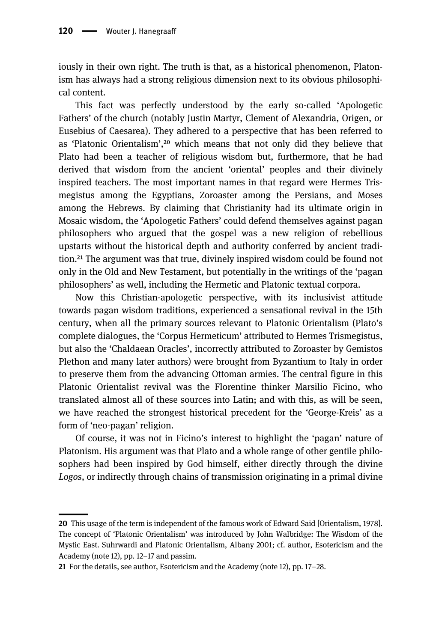iously in their own right. The truth is that, as a historical phenomenon, Platonism has always had a strong religious dimension next to its obvious philosophical content.

This fact was perfectly understood by the early so-called 'Apologetic Fathers' of the church (notably Justin Martyr, Clement of Alexandria, Origen, or Eusebius of Caesarea). They adhered to a perspective that has been referred to as 'Platonic Orientalism',<sup>20</sup> which means that not only did they believe that Plato had been a teacher of religious wisdom but, furthermore, that he had derived that wisdom from the ancient 'oriental' peoples and their divinely inspired teachers. The most important names in that regard were Hermes Trismegistus among the Egyptians, Zoroaster among the Persians, and Moses among the Hebrews. By claiming that Christianity had its ultimate origin in Mosaic wisdom, the 'Apologetic Fathers' could defend themselves against pagan philosophers who argued that the gospel was a new religion of rebellious upstarts without the historical depth and authority conferred by ancient tradition.<sup>21</sup> The argument was that true, divinely inspired wisdom could be found not only in the Old and New Testament, but potentially in the writings of the 'pagan philosophers' as well, including the Hermetic and Platonic textual corpora.

Now this Christian-apologetic perspective, with its inclusivist attitude towards pagan wisdom traditions, experienced a sensational revival in the 15th century, when all the primary sources relevant to Platonic Orientalism (Plato's complete dialogues, the 'Corpus Hermeticum' attributed to Hermes Trismegistus, but also the 'Chaldaean Oracles', incorrectly attributed to Zoroaster by Gemistos Plethon and many later authors) were brought from Byzantium to Italy in order to preserve them from the advancing Ottoman armies. The central figure in this Platonic Orientalist revival was the Florentine thinker Marsilio Ficino, who translated almost all of these sources into Latin; and with this, as will be seen, we have reached the strongest historical precedent for the 'George-Kreis' as a form of 'neo-pagan' religion.

Of course, it was not in Ficino's interest to highlight the 'pagan' nature of Platonism. His argument was that Plato and a whole range of other gentile philosophers had been inspired by God himself, either directly through the divine Logos, or indirectly through chains of transmission originating in a primal divine

<sup>20</sup> This usage of the term is independent of the famous work of Edward Said [Orientalism, 1978]. The concept of 'Platonic Orientalism' was introduced by John Walbridge: The Wisdom of the Mystic East. Suhrwardi and Platonic Orientalism, Albany 2001; cf. author, Esotericism and the Academy (note 12), pp. 12–17 and passim.

<sup>21</sup> For the details, see author, Esotericism and the Academy (note 12), pp. 17–28.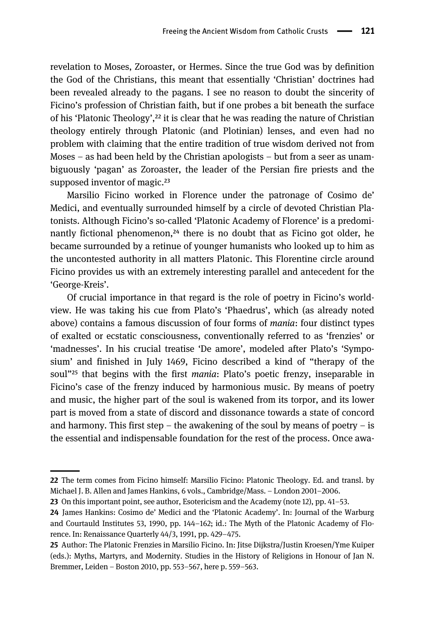revelation to Moses, Zoroaster, or Hermes. Since the true God was by definition the God of the Christians, this meant that essentially 'Christian' doctrines had been revealed already to the pagans. I see no reason to doubt the sincerity of Ficino's profession of Christian faith, but if one probes a bit beneath the surface of his 'Platonic Theology',<sup>22</sup> it is clear that he was reading the nature of Christian theology entirely through Platonic (and Plotinian) lenses, and even had no problem with claiming that the entire tradition of true wisdom derived not from Moses – as had been held by the Christian apologists – but from a seer as unambiguously 'pagan' as Zoroaster, the leader of the Persian fire priests and the supposed inventor of magic.<sup>23</sup>

Marsilio Ficino worked in Florence under the patronage of Cosimo de' Medici, and eventually surrounded himself by a circle of devoted Christian Platonists. Although Ficino's so-called 'Platonic Academy of Florence' is a predominantly fictional phenomenon, $24$  there is no doubt that as Ficino got older, he became surrounded by a retinue of younger humanists who looked up to him as the uncontested authority in all matters Platonic. This Florentine circle around Ficino provides us with an extremely interesting parallel and antecedent for the 'George-Kreis'.

Of crucial importance in that regard is the role of poetry in Ficino's worldview. He was taking his cue from Plato's 'Phaedrus', which (as already noted above) contains a famous discussion of four forms of mania: four distinct types of exalted or ecstatic consciousness, conventionally referred to as 'frenzies' or 'madnesses'. In his crucial treatise 'De amore', modeled after Plato's 'Symposium' and finished in July 1469, Ficino described a kind of "therapy of the soul"<sup>25</sup> that begins with the first *mania*: Plato's poetic frenzy, inseparable in Ficino's case of the frenzy induced by harmonious music. By means of poetry and music, the higher part of the soul is wakened from its torpor, and its lower part is moved from a state of discord and dissonance towards a state of concord and harmony. This first step – the awakening of the soul by means of poetry – is the essential and indispensable foundation for the rest of the process. Once awa-

<sup>22</sup> The term comes from Ficino himself: Marsilio Ficino: Platonic Theology. Ed. and transl. by Michael J. B. Allen and James Hankins, 6 vols., Cambridge/Mass. – London 2001–2006.

<sup>23</sup> On this important point, see author, Esotericism and the Academy (note 12), pp. 41–53.

<sup>24</sup> James Hankins: Cosimo de' Medici and the 'Platonic Academy'. In: Journal of the Warburg and Courtauld Institutes 53, 1990, pp. 144–162; id.: The Myth of the Platonic Academy of Florence. In: Renaissance Quarterly 44/3, 1991, pp. 429–475.

<sup>25</sup> Author: The Platonic Frenzies in Marsilio Ficino. In: Jitse Dijkstra/Justin Kroesen/Yme Kuiper (eds.): Myths, Martyrs, and Modernity. Studies in the History of Religions in Honour of Jan N. Bremmer, Leiden – Boston 2010, pp. 553–567, here p. 559–563.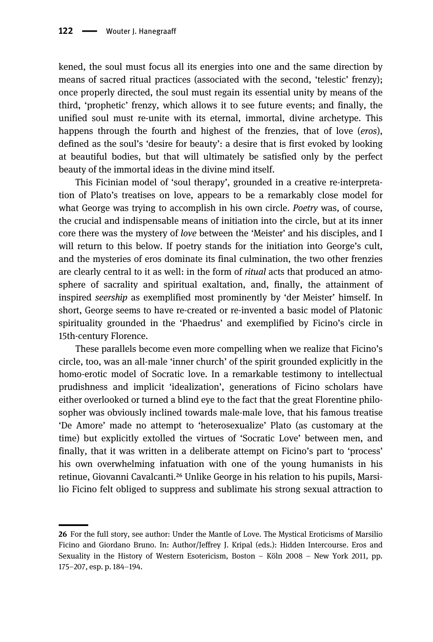kened, the soul must focus all its energies into one and the same direction by means of sacred ritual practices (associated with the second, 'telestic' frenzy); once properly directed, the soul must regain its essential unity by means of the third, 'prophetic' frenzy, which allows it to see future events; and finally, the unified soul must re-unite with its eternal, immortal, divine archetype. This happens through the fourth and highest of the frenzies, that of love (*eros*), defined as the soul's 'desire for beauty': a desire that is first evoked by looking at beautiful bodies, but that will ultimately be satisfied only by the perfect beauty of the immortal ideas in the divine mind itself.

This Ficinian model of 'soul therapy', grounded in a creative re-interpretation of Plato's treatises on love, appears to be a remarkably close model for what George was trying to accomplish in his own circle. *Poetry* was, of course, the crucial and indispensable means of initiation into the circle, but at its inner core there was the mystery of love between the 'Meister' and his disciples, and I will return to this below. If poetry stands for the initiation into George's cult, and the mysteries of eros dominate its final culmination, the two other frenzies are clearly central to it as well: in the form of ritual acts that produced an atmosphere of sacrality and spiritual exaltation, and, finally, the attainment of inspired seership as exemplified most prominently by 'der Meister' himself. In short, George seems to have re-created or re-invented a basic model of Platonic spirituality grounded in the 'Phaedrus' and exemplified by Ficino's circle in 15th-century Florence.

These parallels become even more compelling when we realize that Ficino's circle, too, was an all-male 'inner church' of the spirit grounded explicitly in the homo-erotic model of Socratic love. In a remarkable testimony to intellectual prudishness and implicit 'idealization', generations of Ficino scholars have either overlooked or turned a blind eye to the fact that the great Florentine philosopher was obviously inclined towards male-male love, that his famous treatise 'De Amore' made no attempt to 'heterosexualize' Plato (as customary at the time) but explicitly extolled the virtues of 'Socratic Love' between men, and finally, that it was written in a deliberate attempt on Ficino's part to 'process' his own overwhelming infatuation with one of the young humanists in his retinue, Giovanni Cavalcanti.<sup>26</sup> Unlike George in his relation to his pupils, Marsilio Ficino felt obliged to suppress and sublimate his strong sexual attraction to

<sup>26</sup> For the full story, see author: Under the Mantle of Love. The Mystical Eroticisms of Marsilio Ficino and Giordano Bruno. In: Author/Jeffrey J. Kripal (eds.): Hidden Intercourse. Eros and Sexuality in the History of Western Esotericism, Boston – Köln 2008 – New York 2011, pp. 175–207, esp. p. 184–194.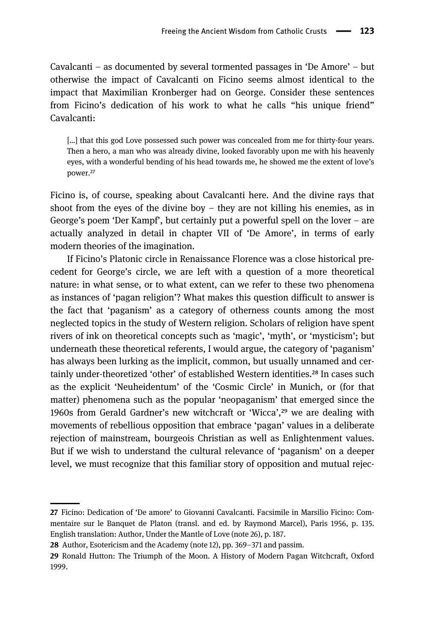Cavalcanti – as documented by several tormented passages in 'De Amore' – but otherwise the impact of Cavalcanti on Ficino seems almost identical to the impact that Maximilian Kronberger had on George. Consider these sentences from Ficino's dedication of his work to what he calls "his unique friend" Cavalcanti:

[...] that this god Love possessed such power was concealed from me for thirty-four years. Then a hero, a man who was already divine, looked favorably upon me with his heavenly eyes, with a wonderful bending of his head towards me, he showed me the extent of love's power.<sup>27</sup>

Ficino is, of course, speaking about Cavalcanti here. And the divine rays that shoot from the eyes of the divine boy – they are not killing his enemies, as in George's poem 'Der Kampf', but certainly put a powerful spell on the lover – are actually analyzed in detail in chapter VII of 'De Amore', in terms of early modern theories of the imagination.

If Ficino's Platonic circle in Renaissance Florence was a close historical precedent for George's circle, we are left with a question of a more theoretical nature: in what sense, or to what extent, can we refer to these two phenomena as instances of 'pagan religion'? What makes this question difficult to answer is the fact that 'paganism' as a category of otherness counts among the most neglected topics in the study of Western religion. Scholars of religion have spent rivers of ink on theoretical concepts such as 'magic', 'myth', or 'mysticism'; but underneath these theoretical referents, I would argue, the category of 'paganism' has always been lurking as the implicit, common, but usually unnamed and certainly under-theoretized 'other' of established Western identities.<sup>28</sup> In cases such as the explicit 'Neuheidentum' of the 'Cosmic Circle' in Munich, or (for that matter) phenomena such as the popular 'neopaganism' that emerged since the 1960s from Gerald Gardner's new witchcraft or 'Wicca', $29$  we are dealing with movements of rebellious opposition that embrace 'pagan' values in a deliberate rejection of mainstream, bourgeois Christian as well as Enlightenment values. But if we wish to understand the cultural relevance of 'paganism' on a deeper level, we must recognize that this familiar story of opposition and mutual rejec-

<sup>27</sup> Ficino: Dedication of 'De amore' to Giovanni Cavalcanti. Facsimile in Marsilio Ficino: Commentaire sur le Banquet de Platon (transl. and ed. by Raymond Marcel), Paris 1956, p. 135. English translation: Author, Under the Mantle of Love (note 26), p. 187.

<sup>28</sup> Author, Esotericism and the Academy (note 12), pp. 369–371 and passim.

<sup>29</sup> Ronald Hutton: The Triumph of the Moon. A History of Modern Pagan Witchcraft, Oxford 1999.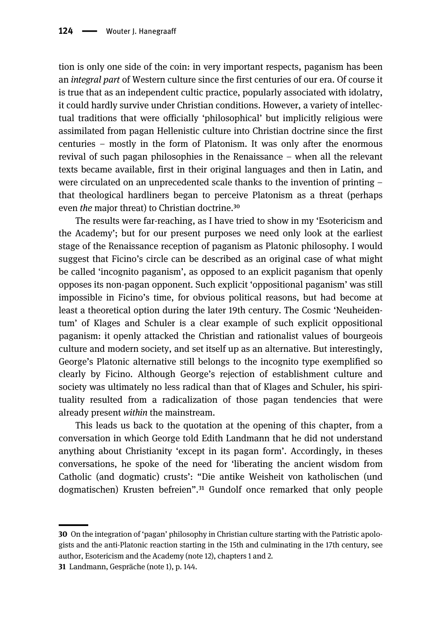tion is only one side of the coin: in very important respects, paganism has been an integral part of Western culture since the first centuries of our era. Of course it is true that as an independent cultic practice, popularly associated with idolatry, it could hardly survive under Christian conditions. However, a variety of intellectual traditions that were officially 'philosophical' but implicitly religious were assimilated from pagan Hellenistic culture into Christian doctrine since the first centuries – mostly in the form of Platonism. It was only after the enormous revival of such pagan philosophies in the Renaissance – when all the relevant texts became available, first in their original languages and then in Latin, and were circulated on an unprecedented scale thanks to the invention of printing – that theological hardliners began to perceive Platonism as a threat (perhaps even the major threat) to Christian doctrine.<sup>30</sup>

The results were far-reaching, as I have tried to show in my 'Esotericism and the Academy'; but for our present purposes we need only look at the earliest stage of the Renaissance reception of paganism as Platonic philosophy. I would suggest that Ficino's circle can be described as an original case of what might be called 'incognito paganism', as opposed to an explicit paganism that openly opposes its non-pagan opponent. Such explicit 'oppositional paganism' was still impossible in Ficino's time, for obvious political reasons, but had become at least a theoretical option during the later 19th century. The Cosmic 'Neuheidentum' of Klages and Schuler is a clear example of such explicit oppositional paganism: it openly attacked the Christian and rationalist values of bourgeois culture and modern society, and set itself up as an alternative. But interestingly, George's Platonic alternative still belongs to the incognito type exemplified so clearly by Ficino. Although George's rejection of establishment culture and society was ultimately no less radical than that of Klages and Schuler, his spirituality resulted from a radicalization of those pagan tendencies that were already present within the mainstream.

This leads us back to the quotation at the opening of this chapter, from a conversation in which George told Edith Landmann that he did not understand anything about Christianity 'except in its pagan form'. Accordingly, in theses conversations, he spoke of the need for 'liberating the ancient wisdom from Catholic (and dogmatic) crusts': "Die antike Weisheit von katholischen (und dogmatischen) Krusten befreien".<sup>31</sup> Gundolf once remarked that only people

<sup>30</sup> On the integration of 'pagan' philosophy in Christian culture starting with the Patristic apologists and the anti-Platonic reaction starting in the 15th and culminating in the 17th century, see author, Esotericism and the Academy (note 12), chapters 1 and 2.

<sup>31</sup> Landmann, Gespräche (note 1), p. 144.